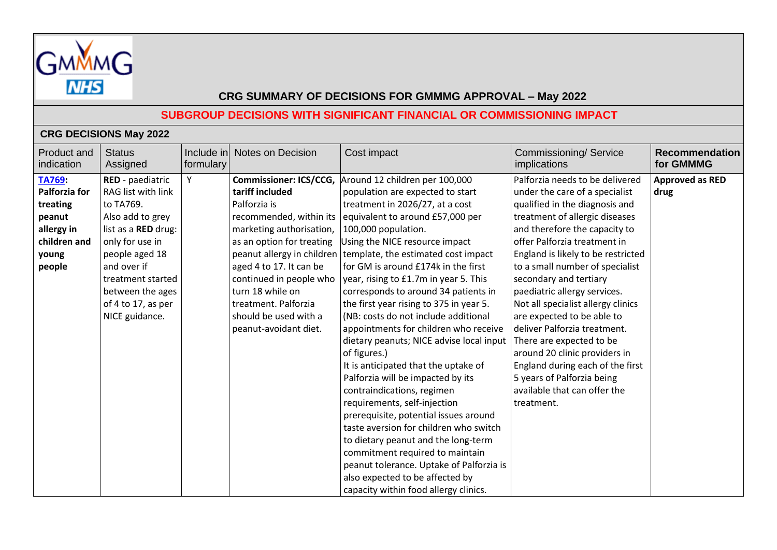

# **SUBGROUP DECISIONS WITH SIGNIFICANT FINANCIAL OR COMMISSIONING IMPACT**

### **CRG DECISIONS May 2022**

| Product and<br>indication                                                                             | <b>Status</b><br>Assigned                                                                                                                                                                                                           | Include in<br>formulary | <b>Notes on Decision</b>                                                                                                                                                                                                                                                                                                               | Cost impact                                                                                                                                                                                                                                                                                                                                                                                                                                                                                                                                                                                                                                                                                                                                                                                                                                                                                                   | Commissioning/Service<br><i>implications</i>                                                                                                                                                                                                                                                                                                                                                                                                                                                                                                                                                                               | <b>Recommendation</b><br>for GMMMG |
|-------------------------------------------------------------------------------------------------------|-------------------------------------------------------------------------------------------------------------------------------------------------------------------------------------------------------------------------------------|-------------------------|----------------------------------------------------------------------------------------------------------------------------------------------------------------------------------------------------------------------------------------------------------------------------------------------------------------------------------------|---------------------------------------------------------------------------------------------------------------------------------------------------------------------------------------------------------------------------------------------------------------------------------------------------------------------------------------------------------------------------------------------------------------------------------------------------------------------------------------------------------------------------------------------------------------------------------------------------------------------------------------------------------------------------------------------------------------------------------------------------------------------------------------------------------------------------------------------------------------------------------------------------------------|----------------------------------------------------------------------------------------------------------------------------------------------------------------------------------------------------------------------------------------------------------------------------------------------------------------------------------------------------------------------------------------------------------------------------------------------------------------------------------------------------------------------------------------------------------------------------------------------------------------------------|------------------------------------|
| TA769:<br><b>Palforzia for</b><br>treating<br>peanut<br>allergy in<br>children and<br>young<br>people | RED - paediatric<br>RAG list with link<br>to TA769.<br>Also add to grey<br>list as a RED drug:<br>only for use in<br>people aged 18<br>and over if<br>treatment started<br>between the ages<br>of 4 to 17, as per<br>NICE guidance. | Y                       | <b>Commissioner: ICS/CCG,</b><br>tariff included<br>Palforzia is<br>recommended, within its<br>marketing authorisation,<br>as an option for treating<br>peanut allergy in children<br>aged 4 to 17. It can be<br>continued in people who<br>turn 18 while on<br>treatment. Palforzia<br>should be used with a<br>peanut-avoidant diet. | Around 12 children per 100,000<br>population are expected to start<br>treatment in 2026/27, at a cost<br>equivalent to around £57,000 per<br>100,000 population.<br>Using the NICE resource impact<br>template, the estimated cost impact<br>for GM is around £174k in the first<br>year, rising to £1.7m in year 5. This<br>corresponds to around 34 patients in<br>the first year rising to 375 in year 5.<br>(NB: costs do not include additional<br>appointments for children who receive<br>dietary peanuts; NICE advise local input<br>of figures.)<br>It is anticipated that the uptake of<br>Palforzia will be impacted by its<br>contraindications, regimen<br>requirements, self-injection<br>prerequisite, potential issues around<br>taste aversion for children who switch<br>to dietary peanut and the long-term<br>commitment required to maintain<br>peanut tolerance. Uptake of Palforzia is | Palforzia needs to be delivered<br>under the care of a specialist<br>qualified in the diagnosis and<br>treatment of allergic diseases<br>and therefore the capacity to<br>offer Palforzia treatment in<br>England is likely to be restricted<br>to a small number of specialist<br>secondary and tertiary<br>paediatric allergy services.<br>Not all specialist allergy clinics<br>are expected to be able to<br>deliver Palforzia treatment.<br>There are expected to be<br>around 20 clinic providers in<br>England during each of the first<br>5 years of Palforzia being<br>available that can offer the<br>treatment. | <b>Approved as RED</b><br>drug     |
|                                                                                                       |                                                                                                                                                                                                                                     |                         |                                                                                                                                                                                                                                                                                                                                        | also expected to be affected by<br>capacity within food allergy clinics.                                                                                                                                                                                                                                                                                                                                                                                                                                                                                                                                                                                                                                                                                                                                                                                                                                      |                                                                                                                                                                                                                                                                                                                                                                                                                                                                                                                                                                                                                            |                                    |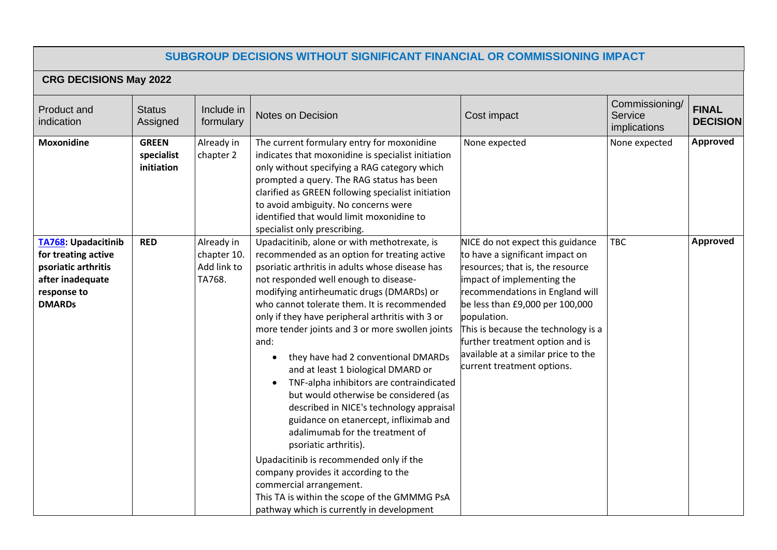## **SUBGROUP DECISIONS WITHOUT SIGNIFICANT FINANCIAL OR COMMISSIONING IMPACT**

# **CRG DECISIONS May 2022**

| Product and<br>indication                                                                                                    | <b>Status</b><br>Assigned                | Include in<br>formulary                            | <b>Notes on Decision</b>                                                                                                                                                                                                                                                                                                                                                                                                                                                                                                                                                                                                                                                                                                                                                                                                                                                                                                                        | Cost impact                                                                                                                                                                                                                                                                                                                                                               | Commissioning/<br>Service<br>implications | <b>FINAL</b><br><b>DECISION</b> |
|------------------------------------------------------------------------------------------------------------------------------|------------------------------------------|----------------------------------------------------|-------------------------------------------------------------------------------------------------------------------------------------------------------------------------------------------------------------------------------------------------------------------------------------------------------------------------------------------------------------------------------------------------------------------------------------------------------------------------------------------------------------------------------------------------------------------------------------------------------------------------------------------------------------------------------------------------------------------------------------------------------------------------------------------------------------------------------------------------------------------------------------------------------------------------------------------------|---------------------------------------------------------------------------------------------------------------------------------------------------------------------------------------------------------------------------------------------------------------------------------------------------------------------------------------------------------------------------|-------------------------------------------|---------------------------------|
| <b>Moxonidine</b>                                                                                                            | <b>GREEN</b><br>specialist<br>initiation | Already in<br>chapter 2                            | The current formulary entry for moxonidine<br>indicates that moxonidine is specialist initiation<br>only without specifying a RAG category which<br>prompted a query. The RAG status has been<br>clarified as GREEN following specialist initiation<br>to avoid ambiguity. No concerns were<br>identified that would limit moxonidine to<br>specialist only prescribing.                                                                                                                                                                                                                                                                                                                                                                                                                                                                                                                                                                        | None expected                                                                                                                                                                                                                                                                                                                                                             | None expected                             | <b>Approved</b>                 |
| <b>TA768: Upadacitinib</b><br>for treating active<br>psoriatic arthritis<br>after inadequate<br>response to<br><b>DMARDs</b> | <b>RED</b>                               | Already in<br>chapter 10.<br>Add link to<br>TA768. | Upadacitinib, alone or with methotrexate, is<br>recommended as an option for treating active<br>psoriatic arthritis in adults whose disease has<br>not responded well enough to disease-<br>modifying antirheumatic drugs (DMARDs) or<br>who cannot tolerate them. It is recommended<br>only if they have peripheral arthritis with 3 or<br>more tender joints and 3 or more swollen joints<br>and:<br>they have had 2 conventional DMARDs<br>$\bullet$<br>and at least 1 biological DMARD or<br>TNF-alpha inhibitors are contraindicated<br>but would otherwise be considered (as<br>described in NICE's technology appraisal<br>guidance on etanercept, infliximab and<br>adalimumab for the treatment of<br>psoriatic arthritis).<br>Upadacitinib is recommended only if the<br>company provides it according to the<br>commercial arrangement.<br>This TA is within the scope of the GMMMG PsA<br>pathway which is currently in development | NICE do not expect this guidance<br>to have a significant impact on<br>resources; that is, the resource<br>impact of implementing the<br>recommendations in England will<br>be less than £9,000 per 100,000<br>population.<br>This is because the technology is a<br>further treatment option and is<br>available at a similar price to the<br>current treatment options. | <b>TBC</b>                                | <b>Approved</b>                 |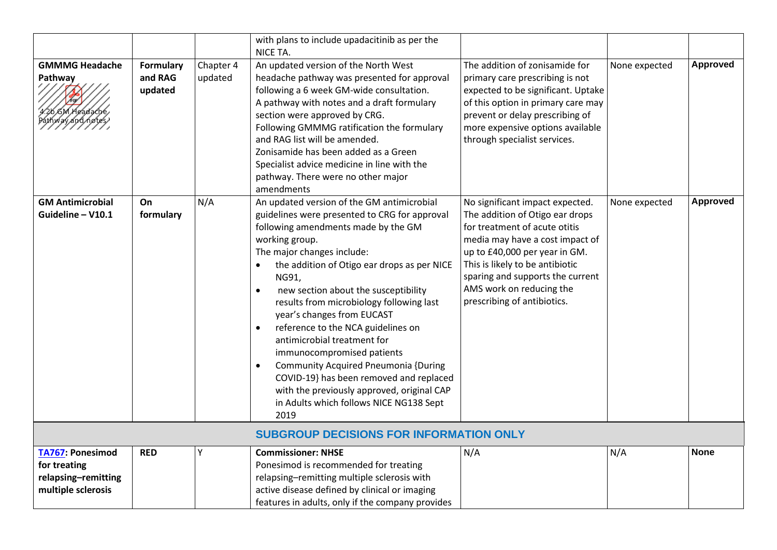|                                                                                      |                                        |                      | with plans to include upadacitinib as per the<br>NICE TA.                                                                                                                                                                                                                                                                                                                                                                                                                                                                                                                                                                                                                                                      |                                                                                                                                                                                                                                                                                                           |               |                 |
|--------------------------------------------------------------------------------------|----------------------------------------|----------------------|----------------------------------------------------------------------------------------------------------------------------------------------------------------------------------------------------------------------------------------------------------------------------------------------------------------------------------------------------------------------------------------------------------------------------------------------------------------------------------------------------------------------------------------------------------------------------------------------------------------------------------------------------------------------------------------------------------------|-----------------------------------------------------------------------------------------------------------------------------------------------------------------------------------------------------------------------------------------------------------------------------------------------------------|---------------|-----------------|
| <b>GMMMG Headache</b><br>Pathway<br>GM Headache                                      | <b>Formulary</b><br>and RAG<br>updated | Chapter 4<br>updated | An updated version of the North West<br>headache pathway was presented for approval<br>following a 6 week GM-wide consultation.<br>A pathway with notes and a draft formulary<br>section were approved by CRG.<br>Following GMMMG ratification the formulary<br>and RAG list will be amended.<br>Zonisamide has been added as a Green<br>Specialist advice medicine in line with the<br>pathway. There were no other major<br>amendments                                                                                                                                                                                                                                                                       | The addition of zonisamide for<br>primary care prescribing is not<br>expected to be significant. Uptake<br>of this option in primary care may<br>prevent or delay prescribing of<br>more expensive options available<br>through specialist services.                                                      | None expected | <b>Approved</b> |
| <b>GM Antimicrobial</b><br>Guideline - V10.1                                         | On<br>formulary                        | N/A                  | An updated version of the GM antimicrobial<br>guidelines were presented to CRG for approval<br>following amendments made by the GM<br>working group.<br>The major changes include:<br>the addition of Otigo ear drops as per NICE<br>$\bullet$<br>NG91,<br>new section about the susceptibility<br>$\bullet$<br>results from microbiology following last<br>year's changes from EUCAST<br>reference to the NCA guidelines on<br>$\bullet$<br>antimicrobial treatment for<br>immunocompromised patients<br><b>Community Acquired Pneumonia {During</b><br>$\bullet$<br>COVID-19} has been removed and replaced<br>with the previously approved, original CAP<br>in Adults which follows NICE NG138 Sept<br>2019 | No significant impact expected.<br>The addition of Otigo ear drops<br>for treatment of acute otitis<br>media may have a cost impact of<br>up to £40,000 per year in GM.<br>This is likely to be antibiotic<br>sparing and supports the current<br>AMS work on reducing the<br>prescribing of antibiotics. | None expected | <b>Approved</b> |
|                                                                                      |                                        |                      | <b>SUBGROUP DECISIONS FOR INFORMATION ONLY</b>                                                                                                                                                                                                                                                                                                                                                                                                                                                                                                                                                                                                                                                                 |                                                                                                                                                                                                                                                                                                           |               |                 |
| <b>TA767: Ponesimod</b><br>for treating<br>relapsing-remitting<br>multiple sclerosis | <b>RED</b>                             | Υ                    | <b>Commissioner: NHSE</b><br>Ponesimod is recommended for treating<br>relapsing-remitting multiple sclerosis with<br>active disease defined by clinical or imaging<br>features in adults, only if the company provides                                                                                                                                                                                                                                                                                                                                                                                                                                                                                         | N/A                                                                                                                                                                                                                                                                                                       | N/A           | <b>None</b>     |